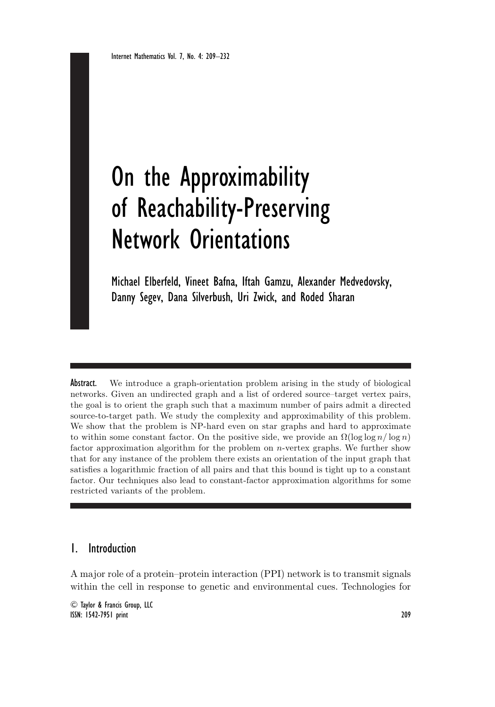# On the Approximability of Reachability-Preserving Network Orientations

Michael Elberfeld, Vineet Bafna, Iftah Gamzu, Alexander Medvedovsky, Danny Segev, Dana Silverbush, Uri Zwick, and Roded Sharan

Abstract. We introduce a graph-orientation problem arising in the study of biological networks. Given an undirected graph and a list of ordered source–target vertex pairs, the goal is to orient the graph such that a maximum number of pairs admit a directed source-to-target path. We study the complexity and approximability of this problem. We show that the problem is NP-hard even on star graphs and hard to approximate to within some constant factor. On the positive side, we provide an  $\Omega(\log \log n / \log n)$ factor approximation algorithm for the problem on  $n$ -vertex graphs. We further show that for any instance of the problem there exists an orientation of the input graph that satisfies a logarithmic fraction of all pairs and that this bound is tight up to a constant factor. Our techniques also lead to constant-factor approximation algorithms for some restricted variants of the problem.

# 1. Introduction

A major role of a protein–protein interaction (PPI) network is to transmit signals within the cell in response to genetic and environmental cues. Technologies for

<sup>C</sup> Taylor & Francis Group, LLC ISSN: 1542-7951 print 209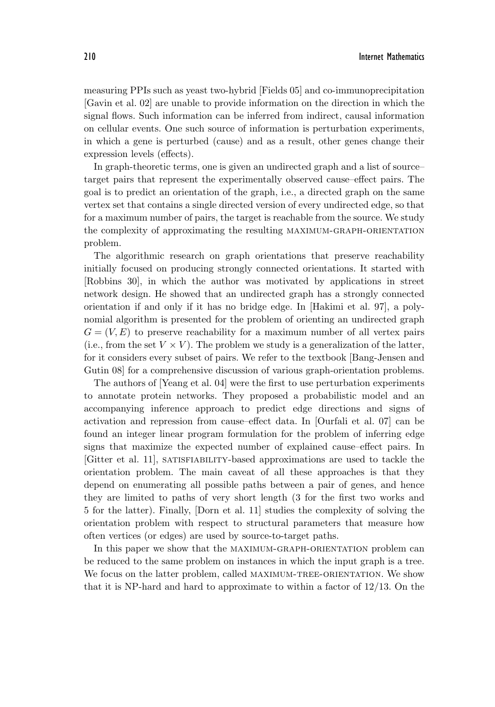measuring PPIs such as yeast two-hybrid [Fields 05] and co-immunoprecipitation [Gavin et al. 02] are unable to provide information on the direction in which the signal flows. Such information can be inferred from indirect, causal information on cellular events. One such source of information is perturbation experiments, in which a gene is perturbed (cause) and as a result, other genes change their expression levels (effects).

In graph-theoretic terms, one is given an undirected graph and a list of source– target pairs that represent the experimentally observed cause–effect pairs. The goal is to predict an orientation of the graph, i.e., a directed graph on the same vertex set that contains a single directed version of every undirected edge, so that for a maximum number of pairs, the target is reachable from the source. We study the complexity of approximating the resulting maximum-graph-orientation problem.

The algorithmic research on graph orientations that preserve reachability initially focused on producing strongly connected orientations. It started with [Robbins 30], in which the author was motivated by applications in street network design. He showed that an undirected graph has a strongly connected orientation if and only if it has no bridge edge. In [Hakimi et al. 97], a polynomial algorithm is presented for the problem of orienting an undirected graph  $G = (V, E)$  to preserve reachability for a maximum number of all vertex pairs (i.e., from the set  $V \times V$ ). The problem we study is a generalization of the latter, for it considers every subset of pairs. We refer to the textbook [Bang-Jensen and Gutin 08] for a comprehensive discussion of various graph-orientation problems.

The authors of [Yeang et al. 04] were the first to use perturbation experiments to annotate protein networks. They proposed a probabilistic model and an accompanying inference approach to predict edge directions and signs of activation and repression from cause–effect data. In [Ourfali et al. 07] can be found an integer linear program formulation for the problem of inferring edge signs that maximize the expected number of explained cause–effect pairs. In [Gitter et al. 11], satisfiability-based approximations are used to tackle the orientation problem. The main caveat of all these approaches is that they depend on enumerating all possible paths between a pair of genes, and hence they are limited to paths of very short length (3 for the first two works and 5 for the latter). Finally, [Dorn et al. 11] studies the complexity of solving the orientation problem with respect to structural parameters that measure how often vertices (or edges) are used by source-to-target paths.

In this paper we show that the MAXIMUM-GRAPH-ORIENTATION problem can be reduced to the same problem on instances in which the input graph is a tree. We focus on the latter problem, called MAXIMUM-TREE-ORIENTATION. We show that it is NP-hard and hard to approximate to within a factor of 12/13. On the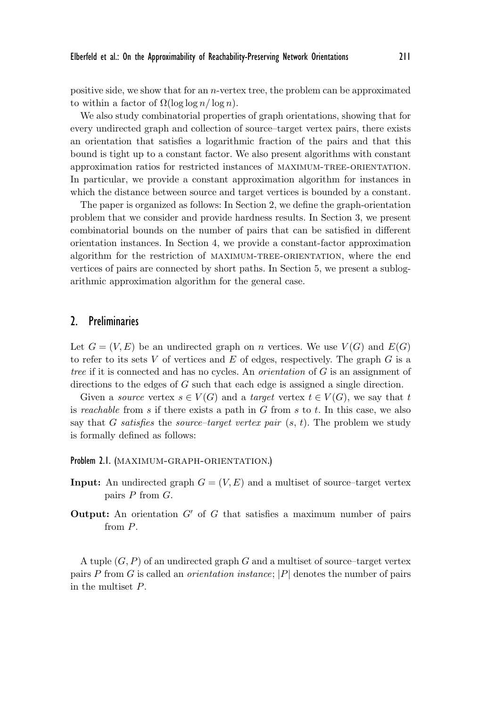positive side, we show that for an n-vertex tree, the problem can be approximated to within a factor of  $\Omega(\log \log n / \log n)$ .

We also study combinatorial properties of graph orientations, showing that for every undirected graph and collection of source–target vertex pairs, there exists an orientation that satisfies a logarithmic fraction of the pairs and that this bound is tight up to a constant factor. We also present algorithms with constant approximation ratios for restricted instances of maximum-tree-orientation. In particular, we provide a constant approximation algorithm for instances in which the distance between source and target vertices is bounded by a constant.

The paper is organized as follows: In Section 2, we define the graph-orientation problem that we consider and provide hardness results. In Section 3, we present combinatorial bounds on the number of pairs that can be satisfied in different orientation instances. In Section 4, we provide a constant-factor approximation algorithm for the restriction of maximum-tree-orientation, where the end vertices of pairs are connected by short paths. In Section 5, we present a sublogarithmic approximation algorithm for the general case.

## 2. Preliminaries

Let  $G = (V, E)$  be an undirected graph on n vertices. We use  $V(G)$  and  $E(G)$ to refer to its sets  $V$  of vertices and  $E$  of edges, respectively. The graph  $G$  is a *tree* if it is connected and has no cycles. An *orientation* of G is an assignment of directions to the edges of G such that each edge is assigned a single direction.

Given a *source* vertex  $s \in V(G)$  and a *target* vertex  $t \in V(G)$ , we say that t is *reachable* from s if there exists a path in G from s to t. In this case, we also say that G *satisfies* the *source–target vertex pair* (s, t). The problem we study is formally defined as follows:

#### Problem 2.1. (MAXIMUM-GRAPH-ORIENTATION.)

- **Input:** An undirected graph  $G = (V, E)$  and a multiset of source–target vertex pairs  $P$  from  $G$ .
- **Output:** An orientation  $G'$  of  $G$  that satisfies a maximum number of pairs from P.

A tuple  $(G, P)$  of an undirected graph G and a multiset of source-target vertex pairs P from G is called an *orientation instance*; |P| denotes the number of pairs in the multiset P.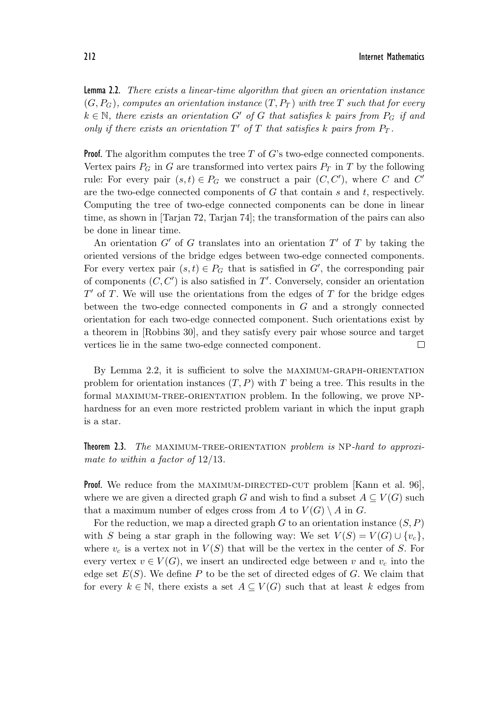212 Internet Mathematics

Lemma 2.2. *There exists a linear-time algorithm that given an orientation instance*  $(G, P_G)$ , computes an orientation instance  $(T, P_T)$  with tree T such that for every  $k \in \mathbb{N}$ , there exists an orientation  $G'$  of  $G$  that satisfies  $k$  pairs from  $P_G$  if and *only if there exists an orientation*  $T'$  *of*  $T$  *that satisfies*  $k$  *pairs from*  $P_T$ *.* 

**Proof.** The algorithm computes the tree  $T$  of  $G$ 's two-edge connected components. Vertex pairs  $P_G$  in G are transformed into vertex pairs  $P_T$  in T by the following rule: For every pair  $(s,t) \in P_G$  we construct a pair  $(C, C')$ , where C and C' are the two-edge connected components of  $G$  that contain  $s$  and  $t$ , respectively. Computing the tree of two-edge connected components can be done in linear time, as shown in [Tarjan 72, Tarjan 74]; the transformation of the pairs can also be done in linear time.

An orientation  $G'$  of G translates into an orientation  $T'$  of T by taking the oriented versions of the bridge edges between two-edge connected components. For every vertex pair  $(s,t) \in P_G$  that is satisfied in G', the corresponding pair of components  $(C, C')$  is also satisfied in  $T'$ . Conversely, consider an orientation  $T'$  of T. We will use the orientations from the edges of T for the bridge edges between the two-edge connected components in G and a strongly connected orientation for each two-edge connected component. Such orientations exist by a theorem in [Robbins 30], and they satisfy every pair whose source and target vertices lie in the same two-edge connected component. П

By Lemma 2.2, it is sufficient to solve the maximum-graph-orientation problem for orientation instances  $(T, P)$  with T being a tree. This results in the formal maximum-tree-orientation problem. In the following, we prove NPhardness for an even more restricted problem variant in which the input graph is a star.

Theorem 2.3. *The* maximum-tree-orientation *problem is* NP*-hard to approximate to within a factor of* 12/13*.*

**Proof.** We reduce from the MAXIMUM-DIRECTED-CUT problem  $|K\text{ann et al. }96|$ , where we are given a directed graph G and wish to find a subset  $A \subseteq V(G)$  such that a maximum number of edges cross from A to  $V(G) \setminus A$  in G.

For the reduction, we map a directed graph G to an orientation instance  $(S, P)$ with S being a star graph in the following way: We set  $V(S) = V(G) \cup \{v_c\}$ , where  $v_c$  is a vertex not in  $V(S)$  that will be the vertex in the center of S. For every vertex  $v \in V(G)$ , we insert an undirected edge between v and  $v_c$  into the edge set  $E(S)$ . We define  $P$  to be the set of directed edges of  $G$ . We claim that for every  $k \in \mathbb{N}$ , there exists a set  $A \subseteq V(G)$  such that at least k edges from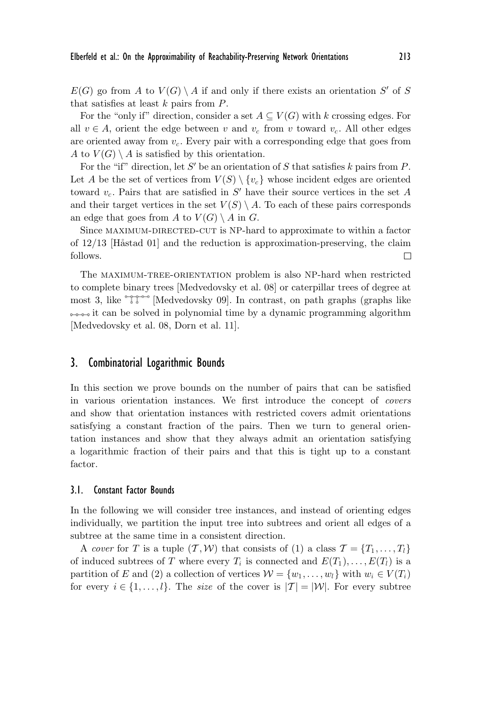$E(G)$  go from A to  $V(G) \setminus A$  if and only if there exists an orientation S' of S that satisfies at least  $k$  pairs from  $P$ .

For the "only if" direction, consider a set  $A \subseteq V(G)$  with k crossing edges. For all  $v \in A$ , orient the edge between v and  $v_c$  from v toward  $v_c$ . All other edges are oriented away from  $v_c$ . Every pair with a corresponding edge that goes from A to  $V(G) \setminus A$  is satisfied by this orientation.

For the "if" direction, let S' be an orientation of S that satisfies k pairs from P. Let A be the set of vertices from  $V(S) \setminus \{v_c\}$  whose incident edges are oriented toward  $v_c$ . Pairs that are satisfied in  $S'$  have their source vertices in the set A and their target vertices in the set  $V(S) \setminus A$ . To each of these pairs corresponds an edge that goes from A to  $V(G) \setminus A$  in G.

Since MAXIMUM-DIRECTED-CUT is NP-hard to approximate to within a factor of  $12/13$  [Håstad 01] and the reduction is approximation-preserving, the claim follows. П

The maximum-tree-orientation problem is also NP-hard when restricted to complete binary trees [Medvedovsky et al. 08] or caterpillar trees of degree at most 3, like  $\mathbb{T}$   $\mathbb{T}^{\infty}$  [Medvedovsky 09]. In contrast, on path graphs (graphs like  $\rightarrow$   $\rightarrow$  it can be solved in polynomial time by a dynamic programming algorithm [Medvedovsky et al. 08, Dorn et al. 11].

## 3. Combinatorial Logarithmic Bounds

In this section we prove bounds on the number of pairs that can be satisfied in various orientation instances. We first introduce the concept of *covers* and show that orientation instances with restricted covers admit orientations satisfying a constant fraction of the pairs. Then we turn to general orientation instances and show that they always admit an orientation satisfying a logarithmic fraction of their pairs and that this is tight up to a constant factor.

### 3.1. Constant Factor Bounds

In the following we will consider tree instances, and instead of orienting edges individually, we partition the input tree into subtrees and orient all edges of a subtree at the same time in a consistent direction.

A *cover* for T is a tuple  $(\mathcal{T}, \mathcal{W})$  that consists of (1) a class  $\mathcal{T} = \{T_1, \ldots, T_l\}$ of induced subtrees of T where every  $T_i$  is connected and  $E(T_1), \ldots, E(T_l)$  is a partition of E and (2) a collection of vertices  $W = \{w_1, \ldots, w_l\}$  with  $w_i \in V(T_i)$ for every  $i \in \{1,\ldots,l\}$ . The *size* of the cover is  $|\mathcal{T}| = |\mathcal{W}|$ . For every subtree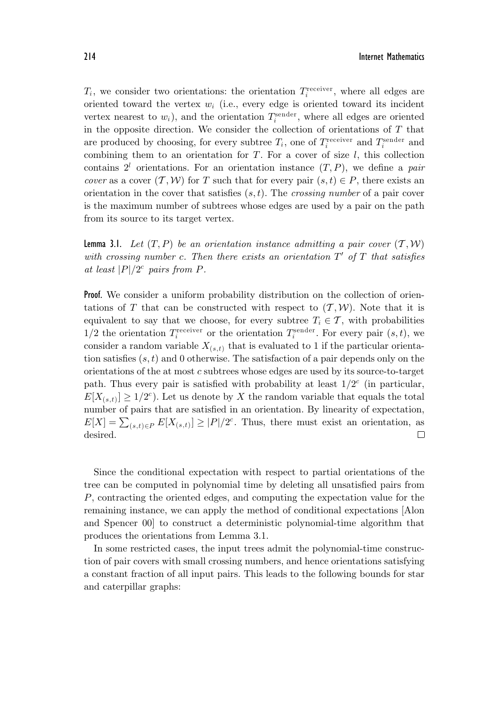$T_i$ , we consider two orientations: the orientation  $T_i^{\text{receiver}}$ , where all edges are oriented toward the vertex  $w_i$  (i.e., every edge is oriented toward its incident vertex nearest to  $w_i$ ), and the orientation  $T_i^{\text{sender}}$ , where all edges are oriented in the opposite direction. We consider the collection of orientations of  $T$  that are produced by choosing, for every subtree  $T_i$ , one of  $T_i^{\text{receiver}}$  and  $T_i^{\text{sender}}$  and combining them to an orientation for  $T$ . For a cover of size  $l$ , this collection contains  $2^l$  orientations. For an orientation instance  $(T, P)$ , we define a *pair cover* as a cover  $(T, W)$  for T such that for every pair  $(s, t) \in P$ , there exists an orientation in the cover that satisfies (s, t). The *crossing number* of a pair cover is the maximum number of subtrees whose edges are used by a pair on the path from its source to its target vertex.

**Lemma 3.1.** Let  $(T, P)$  be an orientation instance admitting a pair cover  $(T, W)$ with crossing number c. Then there exists an orientation  $T'$  of  $T$  that satisfies *at least*  $|P|/2^c$  *pairs from P.* 

**Proof.** We consider a uniform probability distribution on the collection of orientations of T that can be constructed with respect to  $(T, W)$ . Note that it is equivalent to say that we choose, for every subtree  $T_i \in \mathcal{T}$ , with probabilities  $1/2$  the orientation  $T_i^{\text{receiver}}$  or the orientation  $T_i^{\text{sender}}$ . For every pair  $(s, t)$ , we consider a random variable  $X_{(s,t)}$  that is evaluated to 1 if the particular orientation satisfies  $(s, t)$  and 0 otherwise. The satisfaction of a pair depends only on the orientations of the at most c subtrees whose edges are used by its source-to-target path. Thus every pair is satisfied with probability at least  $1/2^c$  (in particular,  $E[X_{(s,t)}] \geq 1/2^c$ . Let us denote by X the random variable that equals the total number of pairs that are satisfied in an orientation. By linearity of expectation,  $E[X] = \sum_{(s,t)\in P} E[X_{(s,t)}] \ge |P|/2^c$ . Thus, there must exist an orientation, as desired.  $\Box$ 

Since the conditional expectation with respect to partial orientations of the tree can be computed in polynomial time by deleting all unsatisfied pairs from P, contracting the oriented edges, and computing the expectation value for the remaining instance, we can apply the method of conditional expectations [Alon and Spencer 00] to construct a deterministic polynomial-time algorithm that produces the orientations from Lemma 3.1.

In some restricted cases, the input trees admit the polynomial-time construction of pair covers with small crossing numbers, and hence orientations satisfying a constant fraction of all input pairs. This leads to the following bounds for star and caterpillar graphs: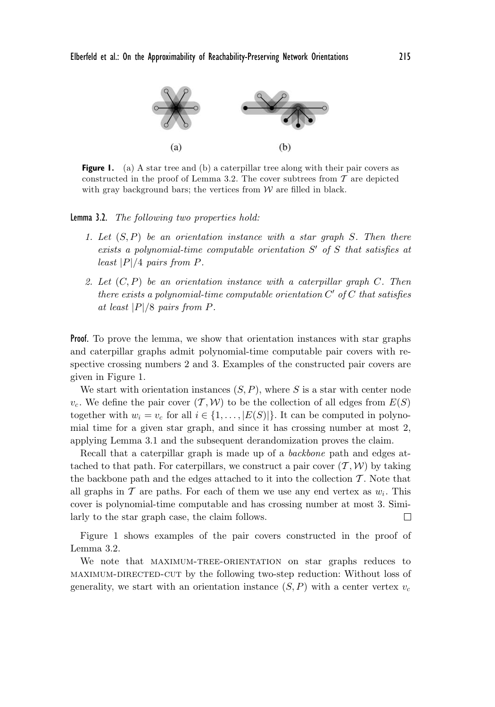

**Figure 1.** (a) A star tree and (b) a caterpillar tree along with their pair covers as constructed in the proof of Lemma 3.2. The cover subtrees from  $\mathcal T$  are depicted with gray background bars; the vertices from  $W$  are filled in black.

Lemma 3.2. *The following two properties hold:*

- *1. Let* (S, P) *be an orientation instance with a star graph* S*. Then there* exists a polynomial-time computable orientation S' of S that satisfies at *least* |P|/4 *pairs from* P*.*
- *2. Let* (C, P) *be an orientation instance with a caterpillar graph* C*. Then there exists a polynomial-time computable orientation*  $C'$  of  $C$  *that satisfies at least* |P|/8 *pairs from* P*.*

Proof. To prove the lemma, we show that orientation instances with star graphs and caterpillar graphs admit polynomial-time computable pair covers with respective crossing numbers 2 and 3. Examples of the constructed pair covers are given in Figure 1.

We start with orientation instances  $(S, P)$ , where S is a star with center node  $v_c$ . We define the pair cover  $(\mathcal{T}, \mathcal{W})$  to be the collection of all edges from  $E(S)$ together with  $w_i = v_c$  for all  $i \in \{1, \ldots, |E(S)|\}$ . It can be computed in polynomial time for a given star graph, and since it has crossing number at most 2, applying Lemma 3.1 and the subsequent derandomization proves the claim.

Recall that a caterpillar graph is made up of a *backbone* path and edges attached to that path. For caterpillars, we construct a pair cover  $(\mathcal{T}, \mathcal{W})$  by taking the backbone path and the edges attached to it into the collection  $\mathcal{T}$ . Note that all graphs in T are paths. For each of them we use any end vertex as  $w_i$ . This cover is polynomial-time computable and has crossing number at most 3. Similarly to the star graph case, the claim follows. П

Figure 1 shows examples of the pair covers constructed in the proof of Lemma 3.2.

We note that MAXIMUM-TREE-ORIENTATION on star graphs reduces to maximum-directed-cut by the following two-step reduction: Without loss of generality, we start with an orientation instance  $(S, P)$  with a center vertex  $v_c$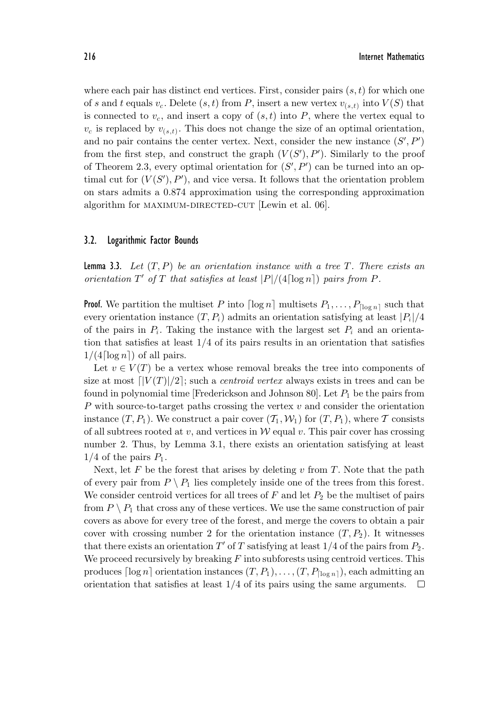where each pair has distinct end vertices. First, consider pairs  $(s, t)$  for which one of s and t equals  $v_c$ . Delete  $(s, t)$  from P, insert a new vertex  $v_{(s,t)}$  into  $V(S)$  that is connected to  $v_c$ , and insert a copy of  $(s, t)$  into P, where the vertex equal to  $v_c$  is replaced by  $v_{(s,t)}$ . This does not change the size of an optimal orientation, and no pair contains the center vertex. Next, consider the new instance  $(S', P')$ from the first step, and construct the graph  $(V(S'), P')$ . Similarly to the proof of Theorem 2.3, every optimal orientation for  $(S', P')$  can be turned into an optimal cut for  $(V(S'), P')$ , and vice versa. It follows that the orientation problem on stars admits a 0.874 approximation using the corresponding approximation algorithm for MAXIMUM-DIRECTED-CUT [Lewin et al. 06].

#### 3.2. Logarithmic Factor Bounds

Lemma 3.3. *Let* (T,P) *be an orientation instance with a tree* T*. There exists an orientation*  $T'$  *of*  $T$  *that satisfies at least*  $|P|/(4 \lceil \log n \rceil)$  *pairs from*  $P$ *.* 

**Proof.** We partition the multiset P into  $\lceil \log n \rceil$  multisets  $P_1, \ldots, P_{\lceil \log n \rceil}$  such that every orientation instance  $(T, P_i)$  admits an orientation satisfying at least  $|P_i|/4$ of the pairs in  $P_i$ . Taking the instance with the largest set  $P_i$  and an orientation that satisfies at least 1/4 of its pairs results in an orientation that satisfies  $1/(4 \lceil \log n \rceil)$  of all pairs.

Let  $v \in V(T)$  be a vertex whose removal breaks the tree into components of size at most  $\lceil |V(T)|/2 \rceil$ ; such a *centroid vertex* always exists in trees and can be found in polynomial time [Frederickson and Johnson 80]. Let  $P_1$  be the pairs from  $P$  with source-to-target paths crossing the vertex  $v$  and consider the orientation instance  $(T, P_1)$ . We construct a pair cover  $(T_1, W_1)$  for  $(T, P_1)$ , where T consists of all subtrees rooted at v, and vertices in  $W$  equal v. This pair cover has crossing number 2. Thus, by Lemma 3.1, there exists an orientation satisfying at least  $1/4$  of the pairs  $P_1$ .

Next, let  $F$  be the forest that arises by deleting  $v$  from  $T$ . Note that the path of every pair from  $P \setminus P_1$  lies completely inside one of the trees from this forest. We consider centroid vertices for all trees of  $F$  and let  $P_2$  be the multiset of pairs from  $P \setminus P_1$  that cross any of these vertices. We use the same construction of pair covers as above for every tree of the forest, and merge the covers to obtain a pair cover with crossing number 2 for the orientation instance  $(T, P_2)$ . It witnesses that there exists an orientation  $T'$  of  $T$  satisfying at least  $1/4$  of the pairs from  $P_2$ . We proceed recursively by breaking  $F$  into subforests using centroid vertices. This produces  $\lceil \log n \rceil$  orientation instances  $(T, P_1), \ldots, (T, P_{\lceil \log n \rceil})$ , each admitting an orientation that satisfies at least 1/4 of its pairs using the same arguments. $\Box$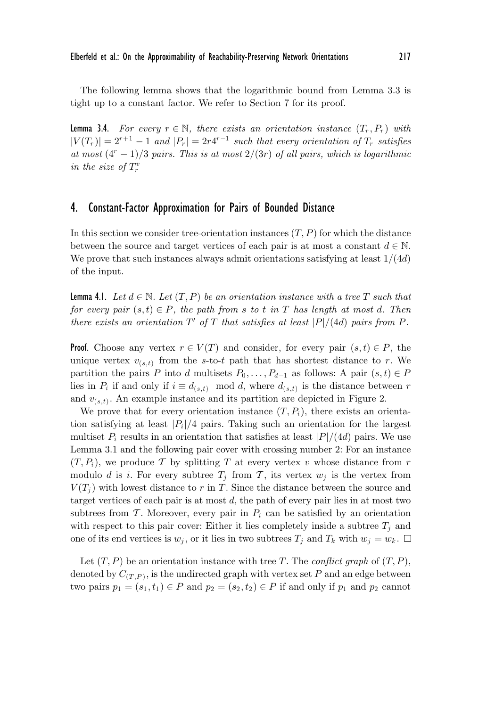The following lemma shows that the logarithmic bound from Lemma 3.3 is tight up to a constant factor. We refer to Section 7 for its proof.

**Lemma 3.4.** *For every*  $r \in \mathbb{N}$ , *there exists an orientation instance*  $(T_r, P_r)$  *with*  $|V(T_r)| = 2^{r+1} - 1$  and  $|P_r| = 2r4^{r-1}$  *such that every orientation of*  $T_r$  *satisfies at most*  $(4^r - 1)/3$  *pairs. This is at most*  $2/(3r)$  *of all pairs, which is logarithmic in the size of*  $T_r^v$ 

## 4. Constant-Factor Approximation for Pairs of Bounded Distance

In this section we consider tree-orientation instances  $(T, P)$  for which the distance between the source and target vertices of each pair is at most a constant  $d \in \mathbb{N}$ . We prove that such instances always admit orientations satisfying at least  $1/(4d)$ of the input.

**Lemma 4.1.** Let  $d \in \mathbb{N}$ . Let  $(T, P)$  be an orientation instance with a tree T such that *for every pair*  $(s, t) \in P$ *, the path from s to t in* T *has length at most* d. Then *there exists an orientation*  $T'$  *of*  $T$  *that satisfies at least*  $|P|/(4d)$  *pairs from*  $P$ *.* 

**Proof.** Choose any vertex  $r \in V(T)$  and consider, for every pair  $(s, t) \in P$ , the unique vertex  $v_{(s,t)}$  from the s-to-t path that has shortest distance to r. We partition the pairs P into d multisets  $P_0, \ldots, P_{d-1}$  as follows: A pair  $(s, t) \in P$ lies in  $P_i$  if and only if  $i \equiv d_{(s,t)} \mod d$ , where  $d_{(s,t)}$  is the distance between r and  $v_{(s,t)}$ . An example instance and its partition are depicted in Figure 2.

We prove that for every orientation instance  $(T, P<sub>i</sub>)$ , there exists an orientation satisfying at least  $|P_i|/4$  pairs. Taking such an orientation for the largest multiset  $P_i$  results in an orientation that satisfies at least  $|P|/(4d)$  pairs. We use Lemma 3.1 and the following pair cover with crossing number 2: For an instance  $(T, P_i)$ , we produce T by splitting T at every vertex v whose distance from r modulo d is i. For every subtree  $T_j$  from  $\mathcal T$ , its vertex  $w_j$  is the vertex from  $V(T_i)$  with lowest distance to r in T. Since the distance between the source and target vertices of each pair is at most d, the path of every pair lies in at most two subtrees from  $\mathcal T$ . Moreover, every pair in  $P_i$  can be satisfied by an orientation with respect to this pair cover: Either it lies completely inside a subtree  $T_i$  and one of its end vertices is  $w_j$ , or it lies in two subtrees  $T_j$  and  $T_k$  with  $w_j = w_k$ .  $\Box$ 

Let  $(T, P)$  be an orientation instance with tree T. The *conflict graph* of  $(T, P)$ , denoted by  $C_{(T,P)}$ , is the undirected graph with vertex set P and an edge between two pairs  $p_1 = (s_1, t_1) \in P$  and  $p_2 = (s_2, t_2) \in P$  if and only if  $p_1$  and  $p_2$  cannot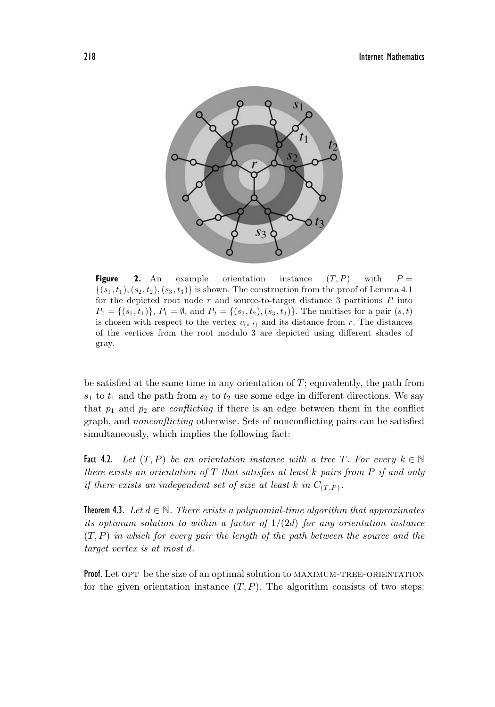

**Figure 2.** An example orientation instance  $(T, P)$  with  $P =$  $\{(s_1,t_1), (s_2,t_2), (s_3,t_3)\}\$ is shown. The construction from the proof of Lemma 4.1 for the depicted root node  $r$  and source-to-target distance 3 partitions  $P$  into  $P_0 = \{(s_1, t_1)\}, P_1 = \emptyset$ , and  $P_2 = \{(s_2, t_2), (s_3, t_3)\}.$  The multiset for a pair  $(s, t)$ is chosen with respect to the vertex  $v_{(s,t)}$  and its distance from r. The distances of the vertices from the root modulo 3 are depicted using different shades of gray.

be satisfied at the same time in any orientation of  $T$ ; equivalently, the path from  $s_1$  to  $t_1$  and the path from  $s_2$  to  $t_2$  use some edge in different directions. We say that  $p_1$  and  $p_2$  are *conflicting* if there is an edge between them in the conflict graph, and *nonconflicting* otherwise. Sets of nonconflicting pairs can be satisfied simultaneously, which implies the following fact:

**Fact 4.2.** Let  $(T, P)$  be an orientation instance with a tree T. For every  $k \in \mathbb{N}$ *there exists an orientation of* T *that satisfies at least* k *pairs from* P *if and only if there exists an independent set of size at least* k in  $C_{(T,P)}$ .

**Theorem 4.3.** *Let*  $d \in \mathbb{N}$ . *There exists a polynomial-time algorithm that approximates its optimum solution to within a factor of* 1/(2d) *for any orientation instance* (T,P) *in which for every pair the length of the path between the source and the target vertex is at most* d*.*

**Proof.** Let OPT be the size of an optimal solution to MAXIMUM-TREE-ORIENTATION for the given orientation instance  $(T, P)$ . The algorithm consists of two steps: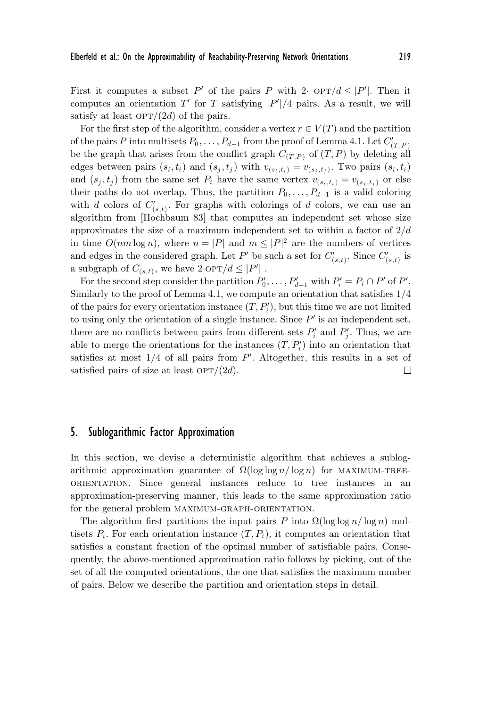First it computes a subset P' of the pairs P with 2·  $\text{OPT}/d \leq |P'|$ . Then it computes an orientation  $T'$  for T satisfying  $|P'|/4$  pairs. As a result, we will satisfy at least  $\text{OPT}/(2d)$  of the pairs.

For the first step of the algorithm, consider a vertex  $r \in V(T)$  and the partition of the pairs P into multisets  $P_0, \ldots, P_{d-1}$  from the proof of Lemma 4.1. Let  $C_{(T,P)}'$ be the graph that arises from the conflict graph  $C_{(T,P)}$  of  $(T,P)$  by deleting all edges between pairs  $(s_i, t_i)$  and  $(s_j, t_j)$  with  $v_{(s_i, t_i)} = v_{(s_i, t_i)}$ . Two pairs  $(s_i, t_i)$ and  $(s_j, t_j)$  from the same set  $P_i$  have the same vertex  $v_{(s_i, t_i)} = v_{(s_i, t_j)}$  or else their paths do not overlap. Thus, the partition  $P_0, \ldots, P_{d-1}$  is a valid coloring with d colors of  $C'_{(s,t)}$ . For graphs with colorings of d colors, we can use an algorithm from [Hochbaum 83] that computes an independent set whose size approximates the size of a maximum independent set to within a factor of  $2/d$ in time  $O(nm \log n)$ , where  $n = |P|$  and  $m \leq |P|^2$  are the numbers of vertices and edges in the considered graph. Let  $P'$  be such a set for  $C'_{(s,t)}$ . Since  $C'_{(s,t)}$  is a subgraph of  $C_{(s,t)}$ , we have  $2 \cdot \text{OPT}/d \leq |P'|$ .

For the second step consider the partition  $P'_0, \ldots, P'_{d-1}$  with  $P'_i = P_i \cap P'$  of P'. Similarly to the proof of Lemma 4.1, we compute an orientation that satisfies 1/4 of the pairs for every orientation instance  $(T, P'_i)$ , but this time we are not limited to using only the orientation of a single instance. Since  $P'$  is an independent set, there are no conflicts between pairs from different sets  $P'_i$  and  $P'_j$ . Thus, we are able to merge the orientations for the instances  $(T, P_i')$  into an orientation that satisfies at most  $1/4$  of all pairs from  $P'$ . Altogether, this results in a set of satisfied pairs of size at least  $\text{OPT}/(2d)$ .  $\Box$ 

# 5. Sublogarithmic Factor Approximation

In this section, we devise a deterministic algorithm that achieves a sublogarithmic approximation guarantee of  $\Omega(\log \log n / \log n)$  for MAXIMUM-TREEorientation. Since general instances reduce to tree instances in an approximation-preserving manner, this leads to the same approximation ratio for the general problem maximum-graph-orientation.

The algorithm first partitions the input pairs P into  $\Omega(\log \log n / \log n)$  multisets  $P_i$ . For each orientation instance  $(T, P_i)$ , it computes an orientation that satisfies a constant fraction of the optimal number of satisfiable pairs. Consequently, the above-mentioned approximation ratio follows by picking, out of the set of all the computed orientations, the one that satisfies the maximum number of pairs. Below we describe the partition and orientation steps in detail.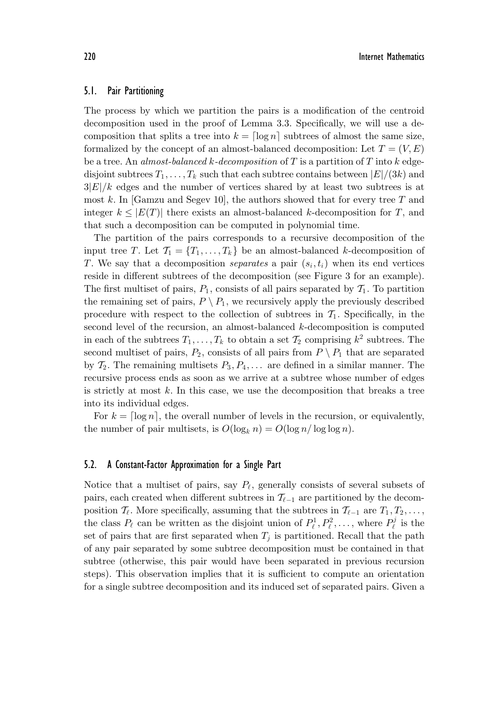#### 5.1. Pair Partitioning

The process by which we partition the pairs is a modification of the centroid decomposition used in the proof of Lemma 3.3. Specifically, we will use a decomposition that splits a tree into  $k = \lceil \log n \rceil$  subtrees of almost the same size, formalized by the concept of an almost-balanced decomposition: Let  $T = (V, E)$ be a tree. An *almost-balanced* k*-decomposition* of T is a partition of T into k edgedisjoint subtrees  $T_1, \ldots, T_k$  such that each subtree contains between  $|E|/(3k)$  and  $3|E|/k$  edges and the number of vertices shared by at least two subtrees is at most k. In [Gamzu and Segev 10], the authors showed that for every tree T and integer  $k \leq |E(T)|$  there exists an almost-balanced k-decomposition for T, and that such a decomposition can be computed in polynomial time.

The partition of the pairs corresponds to a recursive decomposition of the input tree T. Let  $\mathcal{T}_1 = \{T_1, \ldots, T_k\}$  be an almost-balanced k-decomposition of T. We say that a decomposition *separates* a pair  $(s_i, t_i)$  when its end vertices reside in different subtrees of the decomposition (see Figure 3 for an example). The first multiset of pairs,  $P_1$ , consists of all pairs separated by  $\mathcal{T}_1$ . To partition the remaining set of pairs,  $P \setminus P_1$ , we recursively apply the previously described procedure with respect to the collection of subtrees in  $\mathcal{T}_1$ . Specifically, in the second level of the recursion, an almost-balanced k-decomposition is computed in each of the subtrees  $T_1, \ldots, T_k$  to obtain a set  $\mathcal{T}_2$  comprising  $k^2$  subtrees. The second multiset of pairs,  $P_2$ , consists of all pairs from  $P \setminus P_1$  that are separated by  $\mathcal{T}_2$ . The remaining multisets  $P_3, P_4, \ldots$  are defined in a similar manner. The recursive process ends as soon as we arrive at a subtree whose number of edges is strictly at most  $k$ . In this case, we use the decomposition that breaks a tree into its individual edges.

For  $k = \lceil \log n \rceil$ , the overall number of levels in the recursion, or equivalently, the number of pair multisets, is  $O(\log_k n) = O(\log n / \log \log n)$ .

#### 5.2. A Constant-Factor Approximation for a Single Part

Notice that a multiset of pairs, say  $P_{\ell}$ , generally consists of several subsets of pairs, each created when different subtrees in  $\mathcal{T}_{\ell-1}$  are partitioned by the decomposition  $\mathcal{T}_{\ell}$ . More specifically, assuming that the subtrees in  $\mathcal{T}_{\ell-1}$  are  $T_1, T_2, \ldots$ , the class  $P_{\ell}$  can be written as the disjoint union of  $P_{\ell}^1, P_{\ell}^2, \ldots$ , where  $P_{\ell}^j$  is the set of pairs that are first separated when  $T_j$  is partitioned. Recall that the path of any pair separated by some subtree decomposition must be contained in that subtree (otherwise, this pair would have been separated in previous recursion steps). This observation implies that it is sufficient to compute an orientation for a single subtree decomposition and its induced set of separated pairs. Given a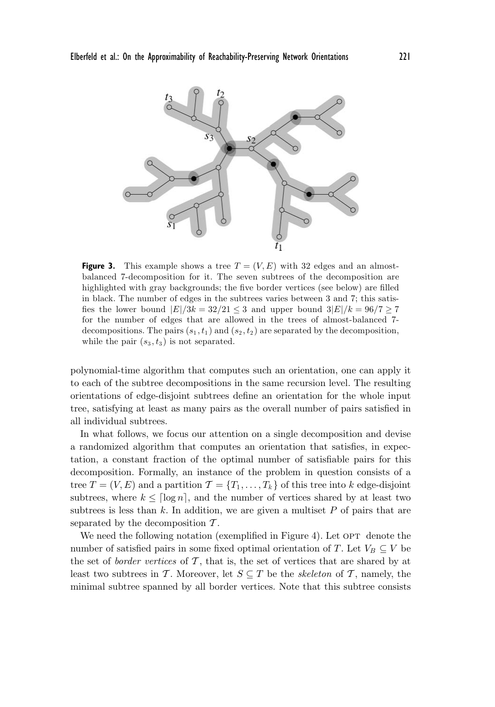

**Figure 3.** This example shows a tree  $T = (V, E)$  with 32 edges and an almostbalanced 7-decomposition for it. The seven subtrees of the decomposition are highlighted with gray backgrounds; the five border vertices (see below) are filled in black. The number of edges in the subtrees varies between 3 and 7; this satisfies the lower bound  $|E|/3k = 32/21 \leq 3$  and upper bound  $3|E|/k = 96/7 \geq 7$ for the number of edges that are allowed in the trees of almost-balanced 7 decompositions. The pairs  $(s_1, t_1)$  and  $(s_2, t_2)$  are separated by the decomposition, while the pair  $(s_3, t_3)$  is not separated.

polynomial-time algorithm that computes such an orientation, one can apply it to each of the subtree decompositions in the same recursion level. The resulting orientations of edge-disjoint subtrees define an orientation for the whole input tree, satisfying at least as many pairs as the overall number of pairs satisfied in all individual subtrees.

In what follows, we focus our attention on a single decomposition and devise a randomized algorithm that computes an orientation that satisfies, in expectation, a constant fraction of the optimal number of satisfiable pairs for this decomposition. Formally, an instance of the problem in question consists of a tree  $T = (V, E)$  and a partition  $\mathcal{T} = \{T_1, \ldots, T_k\}$  of this tree into k edge-disjoint subtrees, where  $k \leq \lceil \log n \rceil$ , and the number of vertices shared by at least two subtrees is less than  $k$ . In addition, we are given a multiset  $P$  of pairs that are separated by the decomposition  $\mathcal{T}$ .

We need the following notation (exemplified in Figure 4). Let  $OPT$  denote the number of satisfied pairs in some fixed optimal orientation of T. Let  $V_B \subseteq V$  be the set of *border vertices* of  $\mathcal{T}$ , that is, the set of vertices that are shared by at least two subtrees in T. Moreover, let  $S \subseteq T$  be the *skeleton* of T, namely, the minimal subtree spanned by all border vertices. Note that this subtree consists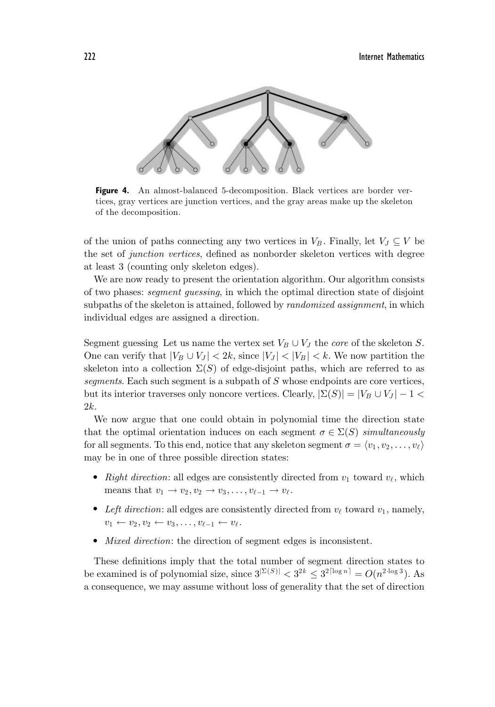222 Internet Mathematics



**Figure 4.** An almost-balanced 5-decomposition. Black vertices are border vertices, gray vertices are junction vertices, and the gray areas make up the skeleton of the decomposition.

of the union of paths connecting any two vertices in  $V_B$ . Finally, let  $V_J \subseteq V$  be the set of *junction vertices*, defined as nonborder skeleton vertices with degree at least 3 (counting only skeleton edges).

We are now ready to present the orientation algorithm. Our algorithm consists of two phases: *segment guessing*, in which the optimal direction state of disjoint subpaths of the skeleton is attained, followed by *randomized assignment*, in which individual edges are assigned a direction.

Segment guessing Let us name the vertex set  $V_B \cup V_J$  the *core* of the skeleton S. One can verify that  $|V_B \cup V_J| < 2k$ , since  $|V_J| < |V_B| < k$ . We now partition the skeleton into a collection  $\Sigma(S)$  of edge-disjoint paths, which are referred to as *segments*. Each such segment is a subpath of S whose endpoints are core vertices, but its interior traverses only noncore vertices. Clearly,  $|\Sigma(S)| = |V_B \cup V_J| - 1$ 2k.

We now argue that one could obtain in polynomial time the direction state that the optimal orientation induces on each segment  $\sigma \in \Sigma(S)$  *simultaneously* for all segments. To this end, notice that any skeleton segment  $\sigma = \langle v_1, v_2, \ldots, v_\ell \rangle$ may be in one of three possible direction states:

- Right direction: all edges are consistently directed from  $v_1$  toward  $v_\ell$ , which means that  $v_1 \rightarrow v_2, v_2 \rightarrow v_3, \ldots, v_{\ell-1} \rightarrow v_{\ell}$ .
- Left direction: all edges are consistently directed from  $v_{\ell}$  toward  $v_1$ , namely,  $v_1 \leftarrow v_2, v_2 \leftarrow v_3, \ldots, v_{\ell-1} \leftarrow v_{\ell}.$
- *Mixed direction*: the direction of segment edges is inconsistent.

These definitions imply that the total number of segment direction states to be examined is of polynomial size, since  $3^{\vert \Sigma(S) \vert} < 3^{2k} \leq 3^{2\lceil \log n \rceil} = O(n^{2 \cdot \log 3})$ . As a consequence, we may assume without loss of generality that the set of direction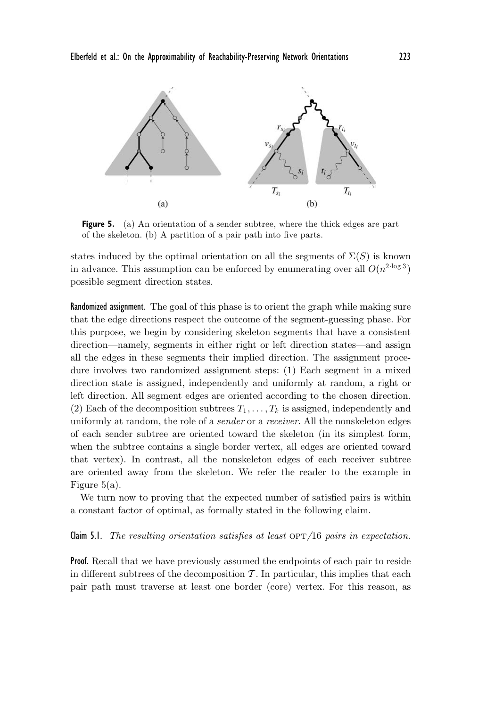

**Figure 5.** (a) An orientation of a sender subtree, where the thick edges are part of the skeleton. (b) A partition of a pair path into five parts.

states induced by the optimal orientation on all the segments of  $\Sigma(S)$  is known in advance. This assumption can be enforced by enumerating over all  $O(n^{2 \cdot \log 3})$ possible segment direction states.

Randomized assignment. The goal of this phase is to orient the graph while making sure that the edge directions respect the outcome of the segment-guessing phase. For this purpose, we begin by considering skeleton segments that have a consistent direction—namely, segments in either right or left direction states—and assign all the edges in these segments their implied direction. The assignment procedure involves two randomized assignment steps: (1) Each segment in a mixed direction state is assigned, independently and uniformly at random, a right or left direction. All segment edges are oriented according to the chosen direction. (2) Each of the decomposition subtrees  $T_1, \ldots, T_k$  is assigned, independently and uniformly at random, the role of a *sender* or a *receiver*. All the nonskeleton edges of each sender subtree are oriented toward the skeleton (in its simplest form, when the subtree contains a single border vertex, all edges are oriented toward that vertex). In contrast, all the nonskeleton edges of each receiver subtree are oriented away from the skeleton. We refer the reader to the example in Figure 5(a).

We turn now to proving that the expected number of satisfied pairs is within a constant factor of optimal, as formally stated in the following claim.

#### **Claim 5.1.** *The resulting orientation satisfies at least OPT/16 pairs in expectation.*

Proof. Recall that we have previously assumed the endpoints of each pair to reside in different subtrees of the decomposition  $\mathcal T$ . In particular, this implies that each pair path must traverse at least one border (core) vertex. For this reason, as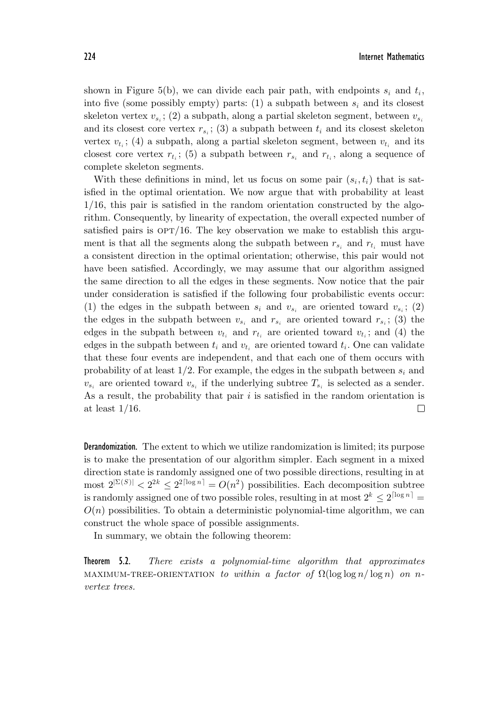224 Internet Mathematics

shown in Figure 5(b), we can divide each pair path, with endpoints  $s_i$  and  $t_i$ , into five (some possibly empty) parts: (1) a subpath between  $s_i$  and its closest skeleton vertex  $v_{s_i}$ ; (2) a subpath, along a partial skeleton segment, between  $v_{s_i}$ and its closest core vertex  $r_{s_i}$ ; (3) a subpath between  $t_i$  and its closest skeleton vertex  $v_{t_i}$ ; (4) a subpath, along a partial skeleton segment, between  $v_{t_i}$  and its closest core vertex  $r_{t_i}$ ; (5) a subpath between  $r_{s_i}$  and  $r_{t_i}$ , along a sequence of complete skeleton segments.

With these definitions in mind, let us focus on some pair  $(s_i, t_i)$  that is satisfied in the optimal orientation. We now argue that with probability at least 1/16, this pair is satisfied in the random orientation constructed by the algorithm. Consequently, by linearity of expectation, the overall expected number of satisfied pairs is  $\text{OPT}/16$ . The key observation we make to establish this argument is that all the segments along the subpath between  $r_{s_i}$  and  $r_{t_i}$  must have a consistent direction in the optimal orientation; otherwise, this pair would not have been satisfied. Accordingly, we may assume that our algorithm assigned the same direction to all the edges in these segments. Now notice that the pair under consideration is satisfied if the following four probabilistic events occur: (1) the edges in the subpath between  $s_i$  and  $v_{s_i}$  are oriented toward  $v_{s_i}$ ; (2) the edges in the subpath between  $v_{s_i}$  and  $r_{s_i}$  are oriented toward  $r_{s_i}$ ; (3) the edges in the subpath between  $v_{t_i}$  and  $r_{t_i}$  are oriented toward  $v_{t_i}$ ; and (4) the edges in the subpath between  $t_i$  and  $v_{t_i}$  are oriented toward  $t_i$ . One can validate that these four events are independent, and that each one of them occurs with probability of at least  $1/2$ . For example, the edges in the subpath between  $s_i$  and  $v_{s_i}$  are oriented toward  $v_{s_i}$  if the underlying subtree  $T_{s_i}$  is selected as a sender. As a result, the probability that pair  $i$  is satisfied in the random orientation is at least 1/16. □

Derandomization. The extent to which we utilize randomization is limited; its purpose is to make the presentation of our algorithm simpler. Each segment in a mixed direction state is randomly assigned one of two possible directions, resulting in at most  $2^{\vert \Sigma(S) \vert} < 2^{2k} \leq 2^{2\lceil \log n \rceil} = O(n^2)$  possibilities. Each decomposition subtree is randomly assigned one of two possible roles, resulting in at most  $2^k \leq 2^{\lceil \log n \rceil} =$  $O(n)$  possibilities. To obtain a deterministic polynomial-time algorithm, we can construct the whole space of possible assignments.

In summary, we obtain the following theorem:

Theorem 5.2. *There exists a polynomial-time algorithm that approximates* MAXIMUM-TREE-ORIENTATION *to within a factor of*  $\Omega(\log \log n / \log n)$  *on* n*vertex trees.*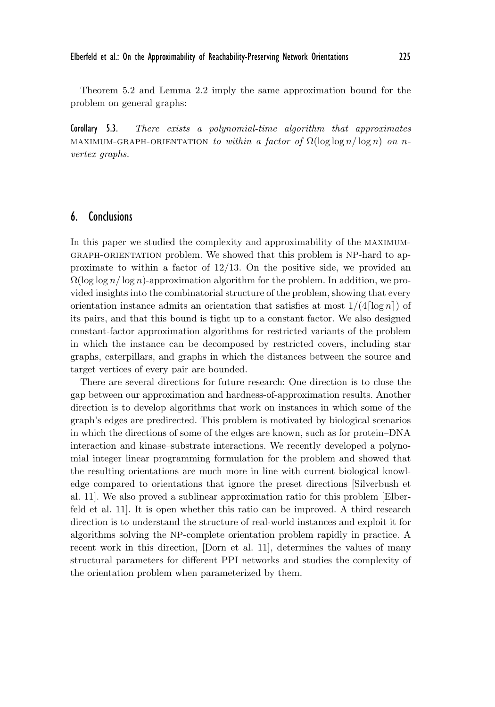Theorem 5.2 and Lemma 2.2 imply the same approximation bound for the problem on general graphs:

Corollary 5.3. *There exists a polynomial-time algorithm that approximates* MAXIMUM-GRAPH-ORIENTATION *to within a factor of*  $\Omega(\log \log n / \log n)$  *on* n*vertex graphs.*

## 6. Conclusions

In this paper we studied the complexity and approximability of the maximumgraph-orientation problem. We showed that this problem is NP-hard to approximate to within a factor of  $12/13$ . On the positive side, we provided an  $\Omega(\log \log n / \log n)$ -approximation algorithm for the problem. In addition, we provided insights into the combinatorial structure of the problem, showing that every orientation instance admits an orientation that satisfies at most  $1/(4 \lceil \log n \rceil)$  of its pairs, and that this bound is tight up to a constant factor. We also designed constant-factor approximation algorithms for restricted variants of the problem in which the instance can be decomposed by restricted covers, including star graphs, caterpillars, and graphs in which the distances between the source and target vertices of every pair are bounded.

There are several directions for future research: One direction is to close the gap between our approximation and hardness-of-approximation results. Another direction is to develop algorithms that work on instances in which some of the graph's edges are predirected. This problem is motivated by biological scenarios in which the directions of some of the edges are known, such as for protein–DNA interaction and kinase–substrate interactions. We recently developed a polynomial integer linear programming formulation for the problem and showed that the resulting orientations are much more in line with current biological knowledge compared to orientations that ignore the preset directions [Silverbush et al. 11]. We also proved a sublinear approximation ratio for this problem [Elberfeld et al. 11]. It is open whether this ratio can be improved. A third research direction is to understand the structure of real-world instances and exploit it for algorithms solving the NP-complete orientation problem rapidly in practice. A recent work in this direction, [Dorn et al. 11], determines the values of many structural parameters for different PPI networks and studies the complexity of the orientation problem when parameterized by them.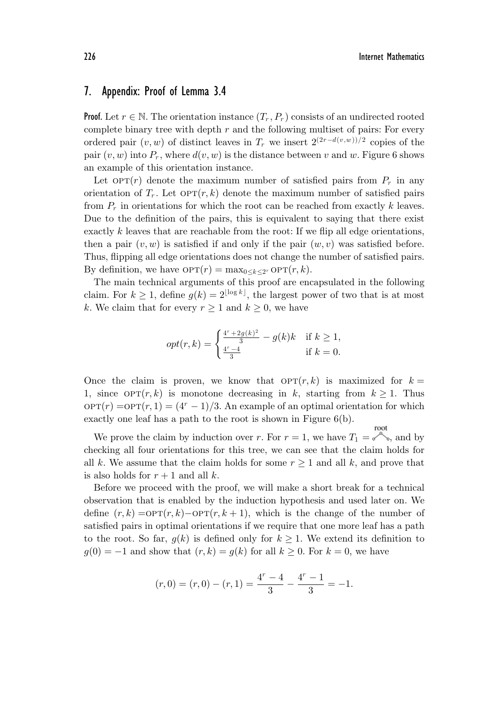## 7. Appendix: Proof of Lemma 3.4

**Proof.** Let  $r \in \mathbb{N}$ . The orientation instance  $(T_r, P_r)$  consists of an undirected rooted complete binary tree with depth  $r$  and the following multiset of pairs: For every ordered pair  $(v, w)$  of distinct leaves in  $T_r$  we insert  $2^{(2r-d(v,w))/2}$  copies of the pair  $(v, w)$  into  $P_r$ , where  $d(v, w)$  is the distance between v and w. Figure 6 shows an example of this orientation instance.

Let  $OPT(r)$  denote the maximum number of satisfied pairs from  $P_r$  in any orientation of  $T_r$ . Let  $\text{OPT}(r, k)$  denote the maximum number of satisfied pairs from  $P_r$  in orientations for which the root can be reached from exactly k leaves. Due to the definition of the pairs, this is equivalent to saying that there exist exactly  $k$  leaves that are reachable from the root: If we flip all edge orientations, then a pair  $(v, w)$  is satisfied if and only if the pair  $(w, v)$  was satisfied before. Thus, flipping all edge orientations does not change the number of satisfied pairs. By definition, we have  $\text{OPT}(r) = \max_{0 \leq k \leq 2^r} \text{OPT}(r, k)$ .

The main technical arguments of this proof are encapsulated in the following claim. For  $k \geq 1$ , define  $g(k) = 2^{\lfloor \log k \rfloor}$ , the largest power of two that is at most k. We claim that for every  $r \geq 1$  and  $k \geq 0$ , we have

$$
opt(r,k) = \begin{cases} \frac{4^r + 2g(k)^2}{3} - g(k)k & \text{if } k \ge 1, \\ \frac{4^r - 4}{3} & \text{if } k = 0. \end{cases}
$$

Once the claim is proven, we know that  $\text{OPT}(r, k)$  is maximized for  $k =$ 1, since  $\text{OPT}(r, k)$  is monotone decreasing in k, starting from  $k \geq 1$ . Thus  $\text{OPT}(r) = \text{OPT}(r, 1) = (4^r - 1)/3$ . An example of an optimal orientation for which exactly one leaf has a path to the root is shown in Figure 6(b).

We prove the claim by induction over r. For  $r = 1$ , we have  $T_1 = e^{i\phi}$ , and by checking all four orientations for this tree, we can see that the claim holds for all k. We assume that the claim holds for some  $r \geq 1$  and all k, and prove that is also holds for  $r + 1$  and all k.

Before we proceed with the proof, we will make a short break for a technical observation that is enabled by the induction hypothesis and used later on. We define  $(r, k) = \text{OPT}(r, k) - \text{OPT}(r, k + 1)$ , which is the change of the number of satisfied pairs in optimal orientations if we require that one more leaf has a path to the root. So far,  $g(k)$  is defined only for  $k \geq 1$ . We extend its definition to  $g(0) = -1$  and show that  $(r, k) = g(k)$  for all  $k \geq 0$ . For  $k = 0$ , we have

$$
(r,0) = (r,0) - (r,1) = \frac{4^r - 4}{3} - \frac{4^r - 1}{3} = -1.
$$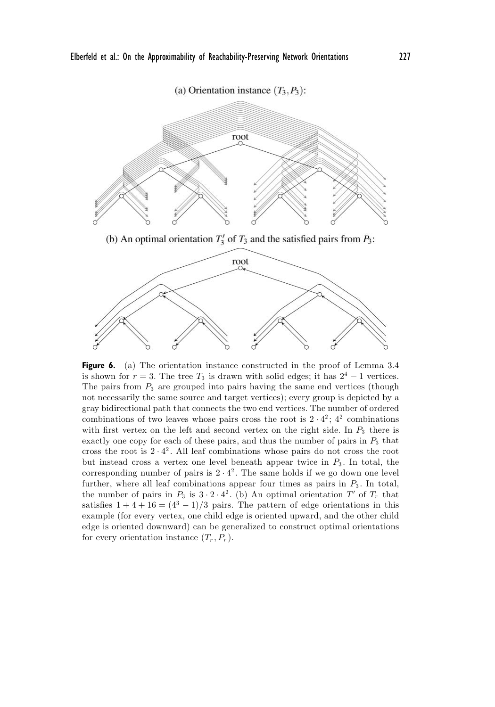



Figure 6. (a) The orientation instance constructed in the proof of Lemma 3.4 is shown for  $r = 3$ . The tree  $T_3$  is drawn with solid edges; it has  $2^4 - 1$  vertices. The pairs from  $P_3$  are grouped into pairs having the same end vertices (though not necessarily the same source and target vertices); every group is depicted by a gray bidirectional path that connects the two end vertices. The number of ordered combinations of two leaves whose pairs cross the root is  $2 \cdot 4^2$ ;  $4^2$  combinations with first vertex on the left and second vertex on the right side. In  $P_3$  there is exactly one copy for each of these pairs, and thus the number of pairs in  $P_3$  that cross the root is  $2 \cdot 4^2$ . All leaf combinations whose pairs do not cross the root but instead cross a vertex one level beneath appear twice in  $P_3$ . In total, the corresponding number of pairs is  $2 \cdot 4^2$ . The same holds if we go down one level further, where all leaf combinations appear four times as pairs in  $P_3$ . In total, the number of pairs in  $P_3$  is  $3 \cdot 2 \cdot 4^2$ . (b) An optimal orientation T' of  $T_r$  that satisfies  $1 + 4 + 16 = (4^3 - 1)/3$  pairs. The pattern of edge orientations in this example (for every vertex, one child edge is oriented upward, and the other child edge is oriented downward) can be generalized to construct optimal orientations for every orientation instance  $(T_r, P_r)$ .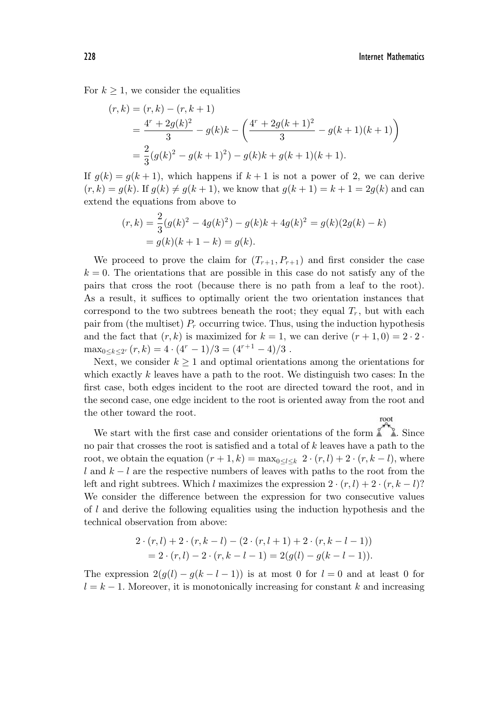For  $k \geq 1$ , we consider the equalities

$$
(r,k) = (r,k) - (r, k+1)
$$
  
=  $\frac{4^r + 2g(k)^2}{3} - g(k)k - \left(\frac{4^r + 2g(k+1)^2}{3} - g(k+1)(k+1)\right)$   
=  $\frac{2}{3}(g(k)^2 - g(k+1)^2) - g(k)k + g(k+1)(k+1).$ 

If  $g(k) = g(k+1)$ , which happens if  $k+1$  is not a power of 2, we can derive  $(r, k) = g(k)$ . If  $g(k) \neq g(k + 1)$ , we know that  $g(k + 1) = k + 1 = 2g(k)$  and can extend the equations from above to

$$
(r,k) = \frac{2}{3}(g(k)^2 - 4g(k)^2) - g(k)k + 4g(k)^2 = g(k)(2g(k) - k)
$$
  
=  $g(k)(k + 1 - k) = g(k)$ .

We proceed to prove the claim for  $(T_{r+1}, P_{r+1})$  and first consider the case  $k = 0$ . The orientations that are possible in this case do not satisfy any of the pairs that cross the root (because there is no path from a leaf to the root). As a result, it suffices to optimally orient the two orientation instances that correspond to the two subtrees beneath the root; they equal  $T_r$ , but with each pair from (the multiset)  $P_r$  occurring twice. Thus, using the induction hypothesis and the fact that  $(r, k)$  is maximized for  $k = 1$ , we can derive  $(r + 1, 0) = 2 \cdot 2 \cdot$  $\max_{0 \le k \le 2^{r}} (r, k) = 4 \cdot (4^{r} - 1)/3 = (4^{r+1} - 4)/3$ .

Next, we consider  $k \geq 1$  and optimal orientations among the orientations for which exactly  $k$  leaves have a path to the root. We distinguish two cases: In the first case, both edges incident to the root are directed toward the root, and in the second case, one edge incident to the root is oriented away from the root and the other toward the root. root

We start with the first case and consider orientations of the form  $\mathbb{Z}$ . Since no pair that crosses the root is satisfied and a total of  $k$  leaves have a path to the root, we obtain the equation  $(r + 1, k) = \max_{0 \leq l \leq k} 2 \cdot (r, l) + 2 \cdot (r, k - l)$ , where l and  $k - l$  are the respective numbers of leaves with paths to the root from the left and right subtrees. Which l maximizes the expression  $2 \cdot (r, l) + 2 \cdot (r, k - l)$ ? We consider the difference between the expression for two consecutive values of l and derive the following equalities using the induction hypothesis and the technical observation from above:

$$
2 \cdot (r, l) + 2 \cdot (r, k - l) - (2 \cdot (r, l + 1) + 2 \cdot (r, k - l - 1))
$$
  
= 2 \cdot (r, l) - 2 \cdot (r, k - l - 1) = 2(g(l) - g(k - l - 1)).

The expression  $2(g(l) - g(k - l - 1))$  is at most 0 for  $l = 0$  and at least 0 for  $l = k - 1$ . Moreover, it is monotonically increasing for constant k and increasing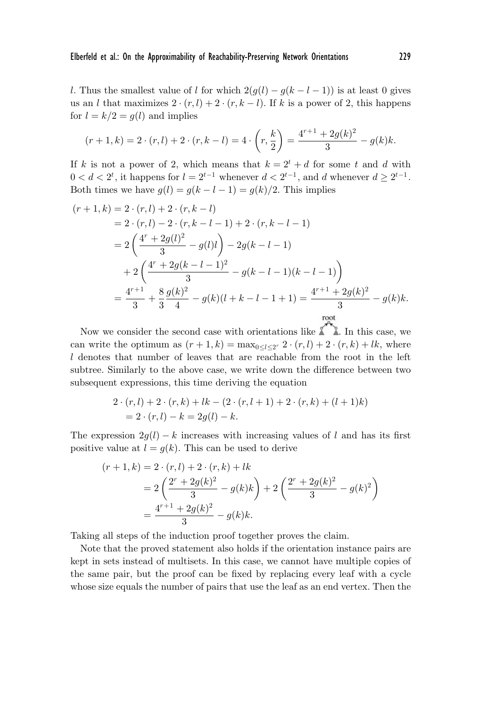l. Thus the smallest value of l for which  $2(g(l) - g(k - l - 1))$  is at least 0 gives us an l that maximizes  $2 \cdot (r, l)+2 \cdot (r, k-l)$ . If k is a power of 2, this happens for  $l = k/2 = g(l)$  and implies

$$
(r+1,k) = 2 \cdot (r,l) + 2 \cdot (r,k-l) = 4 \cdot \left(r, \frac{k}{2}\right) = \frac{4^{r+1} + 2g(k)^2}{3} - g(k)k.
$$

If k is not a power of 2, which means that  $k = 2^t + d$  for some t and d with  $0 < d < 2<sup>t</sup>$ , it happens for  $l = 2<sup>t-1</sup>$  whenever  $d < 2<sup>t-1</sup>$ , and d whenever  $d \geq 2<sup>t-1</sup>$ . Both times we have  $g(l) = g(k - l - 1) = g(k)/2$ . This implies

$$
(r+1,k) = 2 \cdot (r,l) + 2 \cdot (r,k-l)
$$
  
= 2 \cdot (r,l) - 2 \cdot (r,k-l-1) + 2 \cdot (r,k-l-1)  
= 2 \left(\frac{4^r + 2g(l)^2}{3} - g(l)l\right) - 2g(k-l-1)  
+ 2 \left(\frac{4^r + 2g(k-l-1)^2}{3} - g(k-l-1)(k-l-1)\right)  
= \frac{4^{r+1}}{3} + \frac{8}{3} \frac{g(k)^2}{4} - g(k)(l+k-l-1+1) = \frac{4^{r+1} + 2g(k)^2}{3} - g(k)k.

Now we consider the second case with orientations like  $\sum_{n=1}^{\infty}$ . In this case, we can write the optimum as  $(r+1, k) = \max_{0 \leq l \leq 2^r} 2 \cdot (r, l) + 2 \cdot (r, k) + lk$ , where l denotes that number of leaves that are reachable from the root in the left subtree. Similarly to the above case, we write down the difference between two subsequent expressions, this time deriving the equation

$$
2 \cdot (r, l) + 2 \cdot (r, k) + lk - (2 \cdot (r, l + 1) + 2 \cdot (r, k) + (l + 1)k)
$$
  
= 2 \cdot (r, l) - k = 2g(l) - k.

The expression  $2g(l) - k$  increases with increasing values of l and has its first positive value at  $l = g(k)$ . This can be used to derive

$$
(r+1,k) = 2 \cdot (r,l) + 2 \cdot (r,k) + lk
$$
  
= 
$$
2\left(\frac{2^r + 2g(k)^2}{3} - g(k)k\right) + 2\left(\frac{2^r + 2g(k)^2}{3} - g(k)^2\right)
$$
  
= 
$$
\frac{4^{r+1} + 2g(k)^2}{3} - g(k)k.
$$

Taking all steps of the induction proof together proves the claim.

Note that the proved statement also holds if the orientation instance pairs are kept in sets instead of multisets. In this case, we cannot have multiple copies of the same pair, but the proof can be fixed by replacing every leaf with a cycle whose size equals the number of pairs that use the leaf as an end vertex. Then the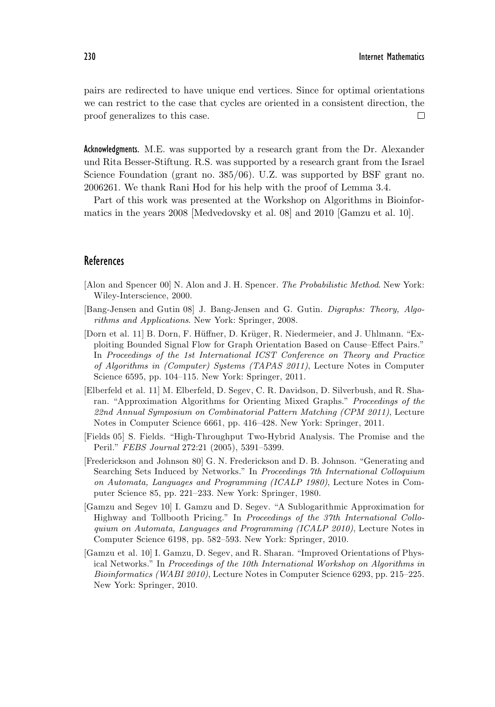pairs are redirected to have unique end vertices. Since for optimal orientations we can restrict to the case that cycles are oriented in a consistent direction, the proof generalizes to this case.  $\Box$ 

Acknowledgments. M.E. was supported by a research grant from the Dr. Alexander und Rita Besser-Stiftung. R.S. was supported by a research grant from the Israel Science Foundation (grant no. 385/06). U.Z. was supported by BSF grant no. 2006261. We thank Rani Hod for his help with the proof of Lemma 3.4.

Part of this work was presented at the Workshop on Algorithms in Bioinformatics in the years 2008 [Medvedovsky et al. 08] and 2010 [Gamzu et al. 10].

## References

- [Alon and Spencer 00] N. Alon and J. H. Spencer. *The Probabilistic Method*. New York: Wiley-Interscience, 2000.
- [Bang-Jensen and Gutin 08] J. Bang-Jensen and G. Gutin. *Digraphs: Theory, Algorithms and Applications*. New York: Springer, 2008.
- [Dorn et al. 11] B. Dorn, F. Hüffner, D. Krüger, R. Niedermeier, and J. Uhlmann. "Exploiting Bounded Signal Flow for Graph Orientation Based on Cause–Effect Pairs." In *Proceedings of the 1st International ICST Conference on Theory and Practice of Algorithms in (Computer) Systems (TAPAS 2011)*, Lecture Notes in Computer Science 6595, pp. 104–115. New York: Springer, 2011.
- [Elberfeld et al. 11] M. Elberfeld, D. Segev, C. R. Davidson, D. Silverbush, and R. Sharan. "Approximation Algorithms for Orienting Mixed Graphs." *Proceedings of the 22nd Annual Symposium on Combinatorial Pattern Matching (CPM 2011)*, Lecture Notes in Computer Science 6661, pp. 416–428. New York: Springer, 2011.
- [Fields 05] S. Fields. "High-Throughput Two-Hybrid Analysis. The Promise and the Peril." *FEBS Journal* 272:21 (2005), 5391–5399.
- [Frederickson and Johnson 80] G. N. Frederickson and D. B. Johnson. "Generating and Searching Sets Induced by Networks." In *Proceedings 7th International Colloquium on Automata, Languages and Programming (ICALP 1980)*, Lecture Notes in Computer Science 85, pp. 221–233. New York: Springer, 1980.
- [Gamzu and Segev 10] I. Gamzu and D. Segev. "A Sublogarithmic Approximation for Highway and Tollbooth Pricing." In *Proceedings of the 37th International Colloquium on Automata, Languages and Programming (ICALP 2010)*, Lecture Notes in Computer Science 6198, pp. 582–593. New York: Springer, 2010.
- [Gamzu et al. 10] I. Gamzu, D. Segev, and R. Sharan. "Improved Orientations of Physical Networks." In *Proceedings of the 10th International Workshop on Algorithms in Bioinformatics (WABI 2010)*, Lecture Notes in Computer Science 6293, pp. 215–225. New York: Springer, 2010.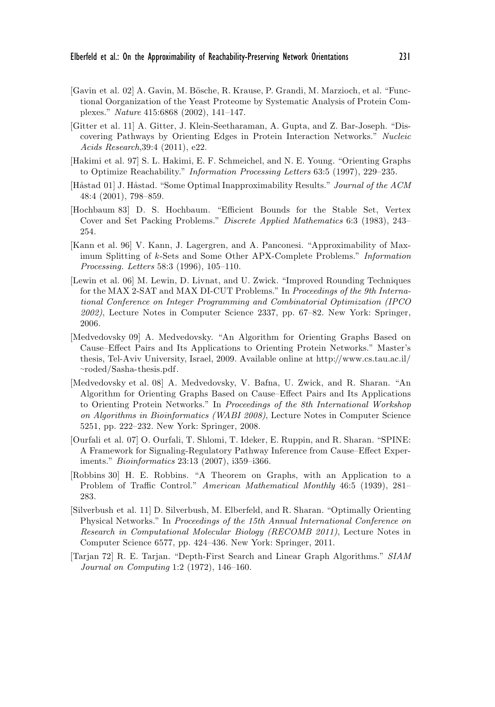- [Gavin et al. 02] A. Gavin, M. Bösche, R. Krause, P. Grandi, M. Marzioch, et al. "Functional Oorganization of the Yeast Proteome by Systematic Analysis of Protein Complexes." *Nature* 415:6868 (2002), 141–147.
- [Gitter et al. 11] A. Gitter, J. Klein-Seetharaman, A. Gupta, and Z. Bar-Joseph. "Discovering Pathways by Orienting Edges in Protein Interaction Networks." *Nucleic Acids Research*,39:4 (2011), e22.
- [Hakimi et al. 97] S. L. Hakimi, E. F. Schmeichel, and N. E. Young. "Orienting Graphs to Optimize Reachability." *Information Processing Letters* 63:5 (1997), 229–235.
- [Håstad 01] J. Håstad. "Some Optimal Inapproximability Results." *Journal of the ACM* 48:4 (2001), 798–859.
- [Hochbaum 83] D. S. Hochbaum. "Efficient Bounds for the Stable Set, Vertex Cover and Set Packing Problems." *Discrete Applied Mathematics* 6:3 (1983), 243– 254.
- [Kann et al. 96] V. Kann, J. Lagergren, and A. Panconesi. "Approximability of Maximum Splitting of k-Sets and Some Other APX-Complete Problems." *Information Processing. Letters* 58:3 (1996), 105–110.
- [Lewin et al. 06] M. Lewin, D. Livnat, and U. Zwick. "Improved Rounding Techniques for the MAX 2-SAT and MAX DI-CUT Problems." In *Proceedings of the 9th International Conference on Integer Programming and Combinatorial Optimization (IPCO 2002)*, Lecture Notes in Computer Science 2337, pp. 67–82. New York: Springer, 2006.
- [Medvedovsky 09] A. Medvedovsky. "An Algorithm for Orienting Graphs Based on Cause–Effect Pairs and Its Applications to Orienting Protein Networks." Master's thesis, Tel-Aviv University, Israel, 2009. Available online at http://www.cs.tau.ac.il/ <sup>∼</sup>roded/Sasha-thesis.pdf.
- [Medvedovsky et al. 08] A. Medvedovsky, V. Bafna, U. Zwick, and R. Sharan. "An Algorithm for Orienting Graphs Based on Cause–Effect Pairs and Its Applications to Orienting Protein Networks." In *Proceedings of the 8th International Workshop on Algorithms in Bioinformatics (WABI 2008)*, Lecture Notes in Computer Science 5251, pp. 222–232. New York: Springer, 2008.
- [Ourfali et al. 07] O. Ourfali, T. Shlomi, T. Ideker, E. Ruppin, and R. Sharan. "SPINE: A Framework for Signaling-Regulatory Pathway Inference from Cause–Effect Experiments." *Bioinformatics* 23:13 (2007), i359–i366.
- [Robbins 30] H. E. Robbins. "A Theorem on Graphs, with an Application to a Problem of Traffic Control." *American Mathematical Monthly* 46:5 (1939), 281– 283.
- [Silverbush et al. 11] D. Silverbush, M. Elberfeld, and R. Sharan. "Optimally Orienting Physical Networks." In *Proceedings of the 15th Annual International Conference on Research in Computational Molecular Biology (RECOMB 2011)*, Lecture Notes in Computer Science 6577, pp. 424–436. New York: Springer, 2011.
- [Tarjan 72] R. E. Tarjan. "Depth-First Search and Linear Graph Algorithms." *SIAM Journal on Computing* 1:2 (1972), 146–160.